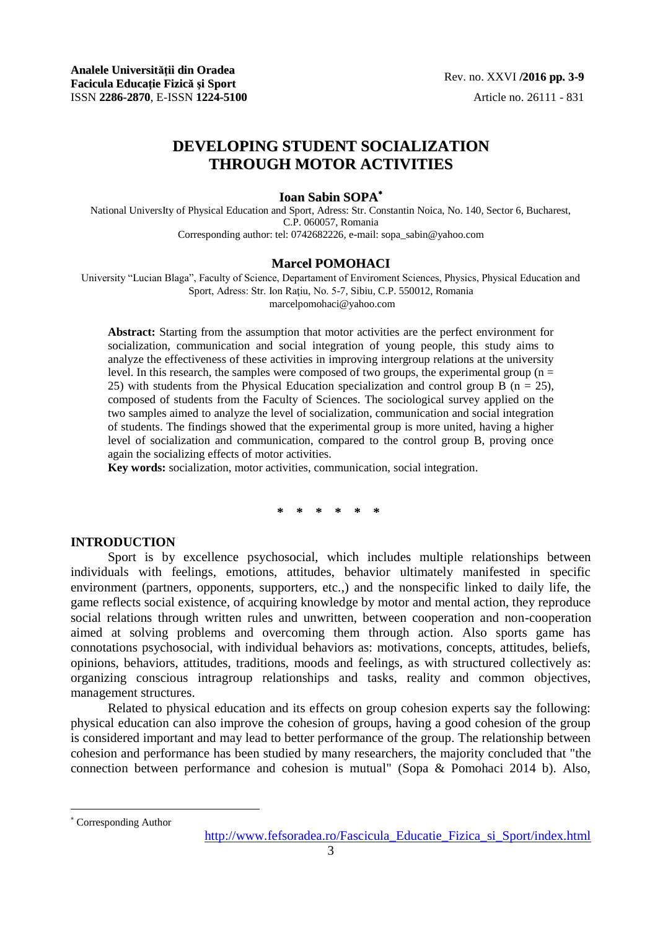# **DEVELOPING STUDENT SOCIALIZATION THROUGH MOTOR ACTIVITIES**

## **Ioan Sabin SOPA**

National UniversIty of Physical Education and Sport, Adress: Str. Constantin Noica, No. 140, Sector 6, Bucharest, C.P. 060057, Romania Corresponding author: tel: 0742682226, e-mail: sopa\_sabin@yahoo.com

#### **Marcel POMOHACI**

University "Lucian Blaga", Faculty of Science, Departament of Enviroment Sciences, Physics, Physical Education and Sport, Adress: Str. Ion Rațiu, No. 5-7, Sibiu, C.P. 550012, Romania marcelpomohaci@yahoo.com

**Abstract:** Starting from the assumption that motor activities are the perfect environment for socialization, communication and social integration of young people, this study aims to analyze the effectiveness of these activities in improving intergroup relations at the university level. In this research, the samples were composed of two groups, the experimental group ( $n =$ 25) with students from the Physical Education specialization and control group B ( $n = 25$ ), composed of students from the Faculty of Sciences. The sociological survey applied on the two samples aimed to analyze the level of socialization, communication and social integration of students. The findings showed that the experimental group is more united, having a higher level of socialization and communication, compared to the control group B, proving once again the socializing effects of motor activities.

**Key words:** socialization, motor activities, communication, social integration.

## **\* \* \* \* \* \***

#### **INTRODUCTION**

Sport is by excellence psychosocial, which includes multiple relationships between individuals with feelings, emotions, attitudes, behavior ultimately manifested in specific environment (partners, opponents, supporters, etc.,) and the nonspecific linked to daily life, the game reflects social existence, of acquiring knowledge by motor and mental action, they reproduce social relations through written rules and unwritten, between cooperation and non-cooperation aimed at solving problems and overcoming them through action. Also sports game has connotations psychosocial, with individual behaviors as: motivations, concepts, attitudes, beliefs, opinions, behaviors, attitudes, traditions, moods and feelings, as with structured collectively as: organizing conscious intragroup relationships and tasks, reality and common objectives, management structures.

Related to physical education and its effects on group cohesion experts say the following: physical education can also improve the cohesion of groups, having a good cohesion of the group is considered important and may lead to better performance of the group. The relationship between cohesion and performance has been studied by many researchers, the majority concluded that "the connection between performance and cohesion is mutual" (Sopa & Pomohaci 2014 b). Also,

l

Corresponding Author

http://www.fefsoradea.ro/Fascicula\_Educatie\_Fizica\_si\_Sport/index.html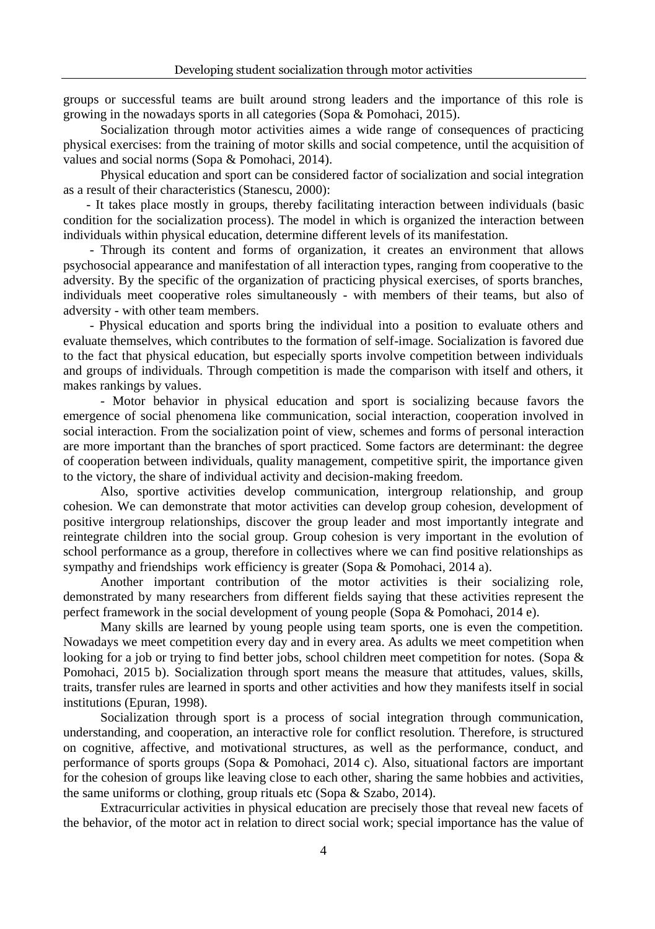groups or successful teams are built around strong leaders and the importance of this role is growing in the nowadays sports in all categories (Sopa & Pomohaci, 2015).

Socialization through motor activities aimes a wide range of consequences of practicing physical exercises: from the training of motor skills and social competence, until the acquisition of values and social norms (Sopa & Pomohaci, 2014).

Physical education and sport can be considered factor of socialization and social integration as a result of their characteristics (Stanescu, 2000):

 - It takes place mostly in groups, thereby facilitating interaction between individuals (basic condition for the socialization process). The model in which is organized the interaction between individuals within physical education, determine different levels of its manifestation.

 - Through its content and forms of organization, it creates an environment that allows psychosocial appearance and manifestation of all interaction types, ranging from cooperative to the adversity. By the specific of the organization of practicing physical exercises, of sports branches, individuals meet cooperative roles simultaneously - with members of their teams, but also of adversity - with other team members.

 - Physical education and sports bring the individual into a position to evaluate others and evaluate themselves, which contributes to the formation of self-image. Socialization is favored due to the fact that physical education, but especially sports involve competition between individuals and groups of individuals. Through competition is made the comparison with itself and others, it makes rankings by values.

- Motor behavior in physical education and sport is socializing because favors the emergence of social phenomena like communication, social interaction, cooperation involved in social interaction. From the socialization point of view, schemes and forms of personal interaction are more important than the branches of sport practiced. Some factors are determinant: the degree of cooperation between individuals, quality management, competitive spirit, the importance given to the victory, the share of individual activity and decision-making freedom.

Also, sportive activities develop communication, intergroup relationship, and group cohesion. We can demonstrate that motor activities can develop group cohesion, development of positive intergroup relationships, discover the group leader and most importantly integrate and reintegrate children into the social group. Group cohesion is very important in the evolution of school performance as a group, therefore in collectives where we can find positive relationships as sympathy and friendships work efficiency is greater (Sopa & Pomohaci, 2014 a).

Another important contribution of the motor activities is their socializing role, demonstrated by many researchers from different fields saying that these activities represent the perfect framework in the social development of young people (Sopa & Pomohaci, 2014 e).

Many skills are learned by young people using team sports, one is even the competition. Nowadays we meet competition every day and in every area. As adults we meet competition when looking for a job or trying to find better jobs, school children meet competition for notes. (Sopa & Pomohaci, 2015 b). Socialization through sport means the measure that attitudes, values, skills, traits, transfer rules are learned in sports and other activities and how they manifests itself in social institutions (Epuran, 1998).

Socialization through sport is a process of social integration through communication, understanding, and cooperation, an interactive role for conflict resolution. Therefore, is structured on cognitive, affective, and motivational structures, as well as the performance, conduct, and performance of sports groups (Sopa & Pomohaci, 2014 c). Also, situational factors are important for the cohesion of groups like leaving close to each other, sharing the same hobbies and activities, the same uniforms or clothing, group rituals etc (Sopa & Szabo, 2014).

Extracurricular activities in physical education are precisely those that reveal new facets of the behavior, of the motor act in relation to direct social work; special importance has the value of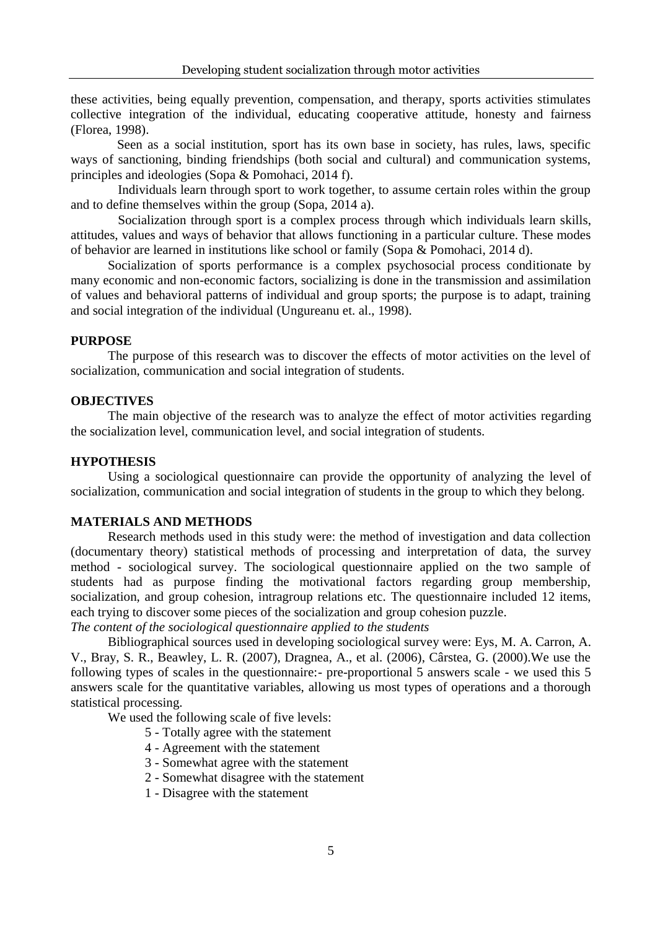these activities, being equally prevention, compensation, and therapy, sports activities stimulates collective integration of the individual, educating cooperative attitude, honesty and fairness (Florea, 1998).

Seen as a social institution, sport has its own base in society, has rules, laws, specific ways of sanctioning, binding friendships (both social and cultural) and communication systems, principles and ideologies (Sopa & Pomohaci, 2014 f).

Individuals learn through sport to work together, to assume certain roles within the group and to define themselves within the group (Sopa, 2014 a).

Socialization through sport is a complex process through which individuals learn skills, attitudes, values and ways of behavior that allows functioning in a particular culture. These modes of behavior are learned in institutions like school or family (Sopa & Pomohaci, 2014 d).

Socialization of sports performance is a complex psychosocial process conditionate by many economic and non-economic factors, socializing is done in the transmission and assimilation of values and behavioral patterns of individual and group sports; the purpose is to adapt, training and social integration of the individual (Ungureanu et. al., 1998).

## **PURPOSE**

The purpose of this research was to discover the effects of motor activities on the level of socialization, communication and social integration of students.

### **OBJECTIVES**

The main objective of the research was to analyze the effect of motor activities regarding the socialization level, communication level, and social integration of students.

## **HYPOTHESIS**

Using a sociological questionnaire can provide the opportunity of analyzing the level of socialization, communication and social integration of students in the group to which they belong.

## **MATERIALS AND METHODS**

Research methods used in this study were: the method of investigation and data collection (documentary theory) statistical methods of processing and interpretation of data, the survey method - sociological survey. The sociological questionnaire applied on the two sample of students had as purpose finding the motivational factors regarding group membership, socialization, and group cohesion, intragroup relations etc. The questionnaire included 12 items, each trying to discover some pieces of the socialization and group cohesion puzzle.

*The content of the sociological questionnaire applied to the students*

Bibliographical sources used in developing sociological survey were: Eys, M. A. Carron, A. V., Bray, S. R., Beawley, L. R. (2007), Dragnea, A., et al. (2006), Cârstea, G. (2000).We use the following types of scales in the questionnaire:- pre-proportional 5 answers scale - we used this 5 answers scale for the quantitative variables, allowing us most types of operations and a thorough statistical processing.

We used the following scale of five levels:

- 5 Totally agree with the statement
- 4 Agreement with the statement
- 3 Somewhat agree with the statement
- 2 Somewhat disagree with the statement
- 1 Disagree with the statement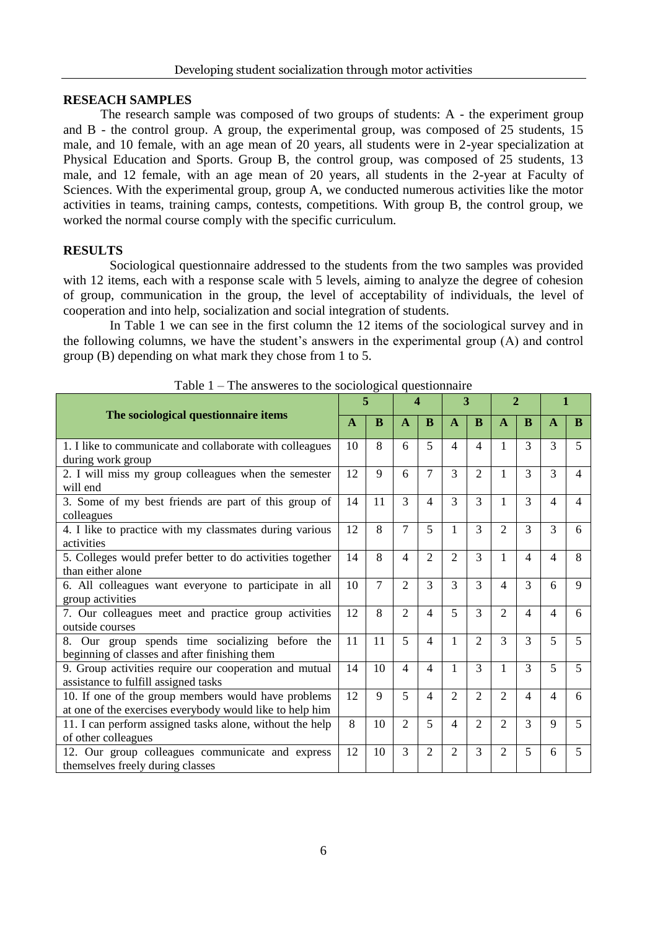## **RESEACH SAMPLES**

The research sample was composed of two groups of students: A - the experiment group and B - the control group. A group, the experimental group, was composed of 25 students, 15 male, and 10 female, with an age mean of 20 years, all students were in 2-year specialization at Physical Education and Sports. Group B, the control group, was composed of 25 students, 13 male, and 12 female, with an age mean of 20 years, all students in the 2-year at Faculty of Sciences. With the experimental group, group A, we conducted numerous activities like the motor activities in teams, training camps, contests, competitions. With group B, the control group, we worked the normal course comply with the specific curriculum.

## **RESULTS**

Sociological questionnaire addressed to the students from the two samples was provided with 12 items, each with a response scale with 5 levels, aiming to analyze the degree of cohesion of group, communication in the group, the level of acceptability of individuals, the level of cooperation and into help, socialization and social integration of students.

In Table 1 we can see in the first column the 12 items of the sociological survey and in the following columns, we have the student's answers in the experimental group (A) and control group (B) depending on what mark they chose from 1 to 5.

| The answeres to the sociological questionnance            |              |    |                |                |                             |                             |                |                |              |                          |  |
|-----------------------------------------------------------|--------------|----|----------------|----------------|-----------------------------|-----------------------------|----------------|----------------|--------------|--------------------------|--|
|                                                           |              |    | Δ              |                | 3                           |                             | $\overline{c}$ |                |              |                          |  |
| The sociological questionnaire items                      | $\mathbf{A}$ | B  | $\mathbf{A}$   | B              | $\mathbf{A}$                | B                           | $\mathbf{A}$   | B              | $\mathbf{A}$ | B                        |  |
| 1. I like to communicate and collaborate with colleagues  | 10           | 8  | 6              | 5              | $\overline{\mathcal{A}}$    | $\overline{\mathcal{A}}$    | 1              | 3              | 3            | $\overline{\phantom{0}}$ |  |
| during work group                                         |              |    |                |                |                             |                             |                |                |              |                          |  |
| 2. I will miss my group colleagues when the semester      | 12           | 9  | 6              | $\overline{7}$ | $\mathcal{F}$               | $\mathfrak{D}$              | 1              | $\mathcal{F}$  | 3            | 4                        |  |
| will end                                                  |              |    |                |                |                             |                             |                |                |              |                          |  |
| 3. Some of my best friends are part of this group of      | 14           | 11 | $\mathcal{F}$  | $\overline{4}$ | 3                           | $\mathcal{F}$               | 1              | 3              | 4            | 4                        |  |
| colleagues                                                |              |    |                |                |                             |                             |                |                |              |                          |  |
| 4. I like to practice with my classmates during various   | 12           | 8  | $\overline{7}$ | 5              | $\mathbf{1}$                | $\mathcal{F}$               | $\overline{c}$ | $\mathcal{F}$  | 3            | 6                        |  |
| activities                                                |              |    |                |                |                             |                             |                |                |              |                          |  |
| 5. Colleges would prefer better to do activities together | 14           | 8  | $\overline{4}$ | $\overline{2}$ | $\overline{2}$              | 3                           | $\mathbf{1}$   | $\overline{4}$ | 4            | 8                        |  |
| than either alone                                         |              |    |                |                |                             |                             |                |                |              |                          |  |
| 6. All colleagues want everyone to participate in all     | 10           | 7  | $\overline{c}$ | 3              | $\mathcal{F}$               | 3                           | 4              | 3              | 6            | 9                        |  |
| group activities                                          |              |    |                |                |                             |                             |                |                |              |                          |  |
| 7. Our colleagues meet and practice group activities      | 12           | 8  | $\mathfrak{D}$ | $\overline{4}$ | $\overline{5}$              | $\mathcal{F}$               | $\mathfrak{D}$ | 4              | 4            | 6                        |  |
| outside courses                                           |              |    |                |                |                             |                             |                |                |              |                          |  |
| 8. Our group spends time socializing before the           | 11           | 11 | $\overline{5}$ | $\overline{4}$ | 1                           | $\mathcal{D}_{\mathcal{L}}$ | $\mathcal{E}$  | $\mathcal{E}$  | 5            | 5                        |  |
| beginning of classes and after finishing them             |              |    |                |                |                             |                             |                |                |              |                          |  |
| 9. Group activities require our cooperation and mutual    | 14           | 10 | $\overline{4}$ | $\overline{4}$ | 1                           | $\mathcal{F}$               | 1              | $\mathcal{F}$  | 5            | 5                        |  |
| assistance to fulfill assigned tasks                      |              |    |                |                |                             |                             |                |                |              |                          |  |
| 10. If one of the group members would have problems       | 12           | 9  | 5              | $\overline{4}$ | $\mathcal{D}_{\mathcal{L}}$ | $\overline{c}$              | $\overline{2}$ | $\overline{4}$ | 4            | 6                        |  |
| at one of the exercises everybody would like to help him  |              |    |                |                |                             |                             |                |                |              |                          |  |
| 11. I can perform assigned tasks alone, without the help  | 8            | 10 | $\overline{c}$ | 5              | $\overline{4}$              | $\overline{c}$              | $\overline{c}$ | $\mathcal{F}$  | $\mathbf Q$  | 5                        |  |
| of other colleagues                                       |              |    |                |                |                             |                             |                |                |              |                          |  |
| 12. Our group colleagues communicate and express          | 12           | 10 | $\mathcal{E}$  | $\overline{c}$ | $\mathfrak{D}$              | 3                           | $\mathfrak{D}$ | $\overline{5}$ | 6            | 5                        |  |
| themselves freely during classes                          |              |    |                |                |                             |                             |                |                |              |                          |  |

Table 1 – The answeres to the sociological questionnaire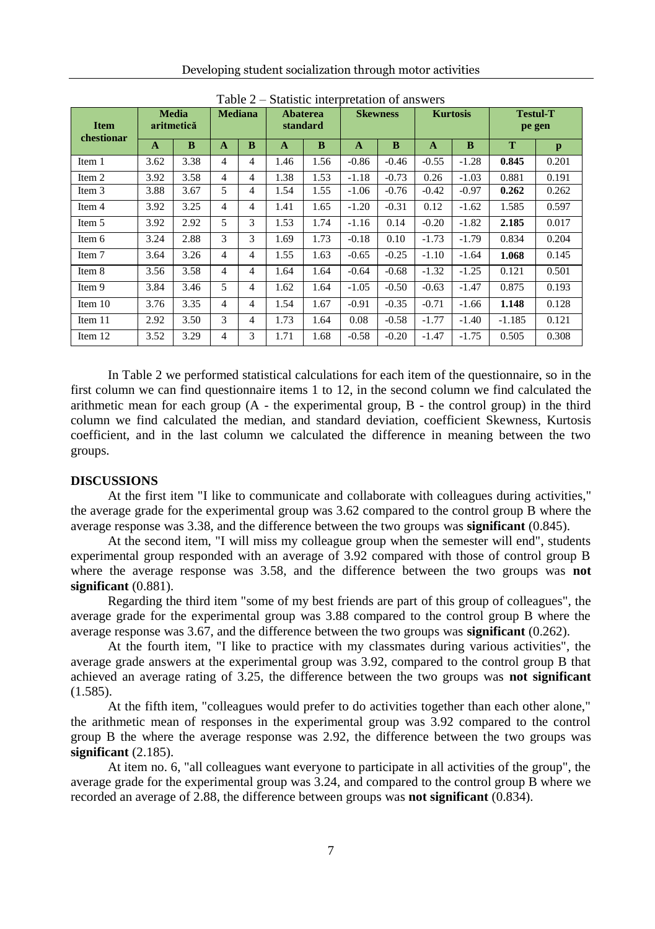|  |  |  | Developing student socialization through motor activities |
|--|--|--|-----------------------------------------------------------|
|  |  |  |                                                           |
|  |  |  |                                                           |

| <b>Item</b><br>chestionar | <b>Media</b><br>aritmetică |      | <b>Mediana</b> |   | <b>Abaterea</b><br>standard |      | <b>Skewness</b> |         | <b>Kurtosis</b> |         | <b>Testul-T</b><br>pe gen |       |
|---------------------------|----------------------------|------|----------------|---|-----------------------------|------|-----------------|---------|-----------------|---------|---------------------------|-------|
|                           | A                          | B    | A              | B | A                           | B    | A               | B       | $\mathbf{A}$    | B       | T                         | p     |
| Item 1                    | 3.62                       | 3.38 | 4              | 4 | 1.46                        | 1.56 | $-0.86$         | $-0.46$ | $-0.55$         | $-1.28$ | 0.845                     | 0.201 |
| Item 2                    | 3.92                       | 3.58 | 4              | 4 | 1.38                        | 1.53 | $-1.18$         | $-0.73$ | 0.26            | $-1.03$ | 0.881                     | 0.191 |
| Item 3                    | 3.88                       | 3.67 | 5              | 4 | 1.54                        | 1.55 | $-1.06$         | $-0.76$ | $-0.42$         | $-0.97$ | 0.262                     | 0.262 |
| Item 4                    | 3.92                       | 3.25 | 4              | 4 | 1.41                        | 1.65 | $-1.20$         | $-0.31$ | 0.12            | $-1.62$ | 1.585                     | 0.597 |
| Item 5                    | 3.92                       | 2.92 | 5              | 3 | 1.53                        | 1.74 | $-1.16$         | 0.14    | $-0.20$         | $-1.82$ | 2.185                     | 0.017 |
| Item 6                    | 3.24                       | 2.88 | 3              | 3 | 1.69                        | 1.73 | $-0.18$         | 0.10    | $-1.73$         | $-1.79$ | 0.834                     | 0.204 |
| Item 7                    | 3.64                       | 3.26 | 4              | 4 | 1.55                        | 1.63 | $-0.65$         | $-0.25$ | $-1.10$         | $-1.64$ | 1.068                     | 0.145 |
| Item 8                    | 3.56                       | 3.58 | 4              | 4 | 1.64                        | 1.64 | $-0.64$         | $-0.68$ | $-1.32$         | $-1.25$ | 0.121                     | 0.501 |
| Item 9                    | 3.84                       | 3.46 | 5              | 4 | 1.62                        | 1.64 | $-1.05$         | $-0.50$ | $-0.63$         | $-1.47$ | 0.875                     | 0.193 |
| Item $10$                 | 3.76                       | 3.35 | 4              | 4 | 1.54                        | 1.67 | $-0.91$         | $-0.35$ | $-0.71$         | $-1.66$ | 1.148                     | 0.128 |
| Item 11                   | 2.92                       | 3.50 | 3              | 4 | 1.73                        | 1.64 | 0.08            | $-0.58$ | $-1.77$         | $-1.40$ | $-1.185$                  | 0.121 |
| Item 12                   | 3.52                       | 3.29 | 4              | 3 | 1.71                        | 1.68 | $-0.58$         | $-0.20$ | $-1.47$         | $-1.75$ | 0.505                     | 0.308 |

Table 2 – Statistic interpretation of answers

In Table 2 we performed statistical calculations for each item of the questionnaire, so in the first column we can find questionnaire items 1 to 12, in the second column we find calculated the arithmetic mean for each group  $(A - the experimental group, B - the control group)$  in the third column we find calculated the median, and standard deviation, coefficient Skewness, Kurtosis coefficient, and in the last column we calculated the difference in meaning between the two groups.

#### **DISCUSSIONS**

At the first item "I like to communicate and collaborate with colleagues during activities," the average grade for the experimental group was 3.62 compared to the control group B where the average response was 3.38, and the difference between the two groups was **significant** (0.845).

At the second item, "I will miss my colleague group when the semester will end", students experimental group responded with an average of 3.92 compared with those of control group B where the average response was 3.58, and the difference between the two groups was **not significant** (0.881).

Regarding the third item "some of my best friends are part of this group of colleagues", the average grade for the experimental group was 3.88 compared to the control group B where the average response was 3.67, and the difference between the two groups was **significant** (0.262).

At the fourth item, "I like to practice with my classmates during various activities", the average grade answers at the experimental group was 3.92, compared to the control group B that achieved an average rating of 3.25, the difference between the two groups was **not significant** (1.585).

At the fifth item, "colleagues would prefer to do activities together than each other alone," the arithmetic mean of responses in the experimental group was 3.92 compared to the control group B the where the average response was 2.92, the difference between the two groups was **significant** (2.185).

At item no. 6, "all colleagues want everyone to participate in all activities of the group", the average grade for the experimental group was 3.24, and compared to the control group B where we recorded an average of 2.88, the difference between groups was **not significant** (0.834).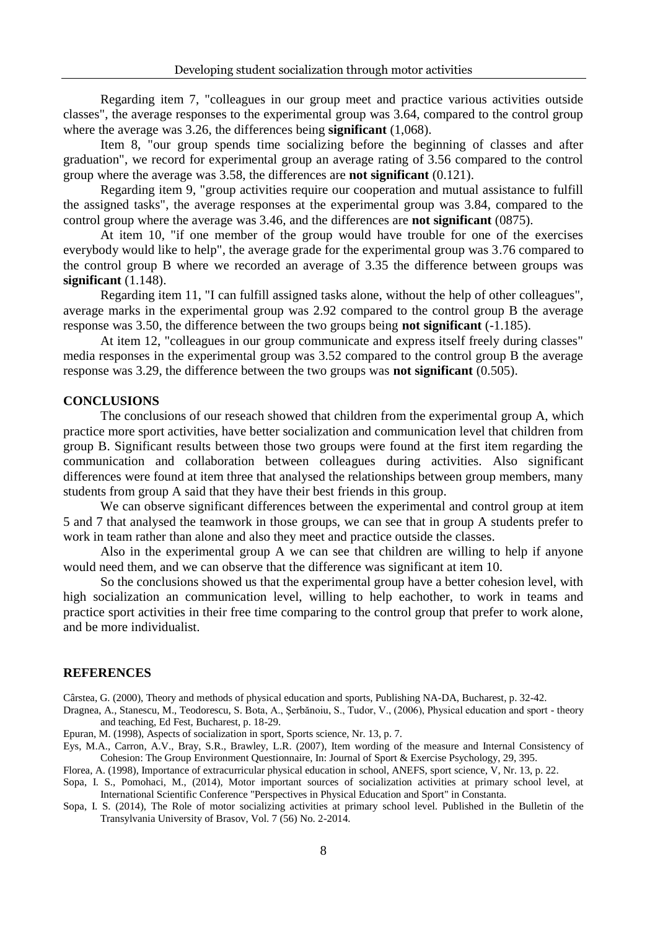Regarding item 7, "colleagues in our group meet and practice various activities outside classes", the average responses to the experimental group was 3.64, compared to the control group where the average was 3.26, the differences being **significant** (1,068).

Item 8, "our group spends time socializing before the beginning of classes and after graduation", we record for experimental group an average rating of 3.56 compared to the control group where the average was 3.58, the differences are **not significant** (0.121).

Regarding item 9, "group activities require our cooperation and mutual assistance to fulfill the assigned tasks", the average responses at the experimental group was 3.84, compared to the control group where the average was 3.46, and the differences are **not significant** (0875).

At item 10, "if one member of the group would have trouble for one of the exercises everybody would like to help", the average grade for the experimental group was 3.76 compared to the control group B where we recorded an average of 3.35 the difference between groups was **significant** (1.148).

Regarding item 11, "I can fulfill assigned tasks alone, without the help of other colleagues", average marks in the experimental group was 2.92 compared to the control group B the average response was 3.50, the difference between the two groups being **not significant** (-1.185).

At item 12, "colleagues in our group communicate and express itself freely during classes" media responses in the experimental group was 3.52 compared to the control group B the average response was 3.29, the difference between the two groups was **not significant** (0.505).

### **CONCLUSIONS**

The conclusions of our reseach showed that children from the experimental group A, which practice more sport activities, have better socialization and communication level that children from group B. Significant results between those two groups were found at the first item regarding the communication and collaboration between colleagues during activities. Also significant differences were found at item three that analysed the relationships between group members, many students from group A said that they have their best friends in this group.

We can observe significant differences between the experimental and control group at item 5 and 7 that analysed the teamwork in those groups, we can see that in group A students prefer to work in team rather than alone and also they meet and practice outside the classes.

Also in the experimental group A we can see that children are willing to help if anyone would need them, and we can observe that the difference was significant at item 10.

So the conclusions showed us that the experimental group have a better cohesion level, with high socialization an communication level, willing to help eachother, to work in teams and practice sport activities in their free time comparing to the control group that prefer to work alone, and be more individualist.

## **REFERENCES**

Cârstea, G. (2000), Theory and methods of physical education and sports, Publishing NA-DA, Bucharest, p. 32-42.

Dragnea, A., Stanescu, M., Teodorescu, S. Bota, A., Şerbănoiu, S., Tudor, V., (2006), Physical education and sport - theory and teaching, Ed Fest, Bucharest, p. 18-29.

Epuran, M. (1998), Aspects of socialization in sport, Sports science, Nr. 13, p. 7.

Eys, M.A., Carron, A.V., Bray, S.R., Brawley, L.R. (2007), Item wording of the measure and Internal Consistency of Cohesion: The Group Environment Questionnaire, In: Journal of Sport & Exercise Psychology, 29, 395.

Florea, A. (1998), Importance of extracurricular physical education in school, ANEFS, sport science, V, Nr. 13, p. 22.

Sopa, I. S., Pomohaci, M., (2014), Motor important sources of socialization activities at primary school level, at International Scientific Conference "Perspectives in Physical Education and Sport" in Constanta.

Sopa, I. S. (2014), The Role of motor socializing activities at primary school level. Published in the Bulletin of the Transylvania University of Brasov, Vol. 7 (56) No. 2-2014.